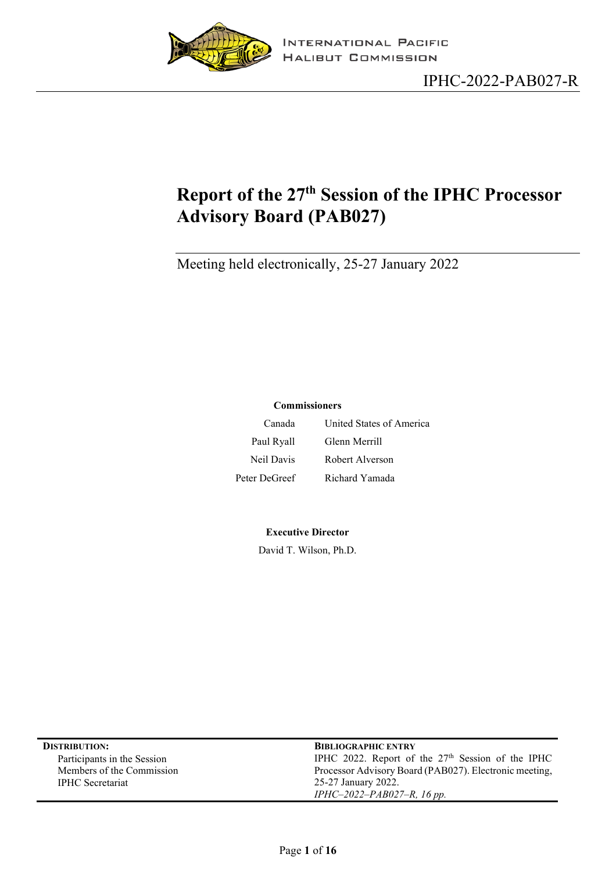

# <span id="page-0-0"></span>**Report of the 27th Session of the IPHC Processor Advisory Board (PAB027)**

Meeting held electronically, 25-27 January 2022

#### **Commissioners**

| Canada        | United States of America |
|---------------|--------------------------|
| Paul Ryall    | Glenn Merrill            |
| Neil Davis    | Robert Alverson          |
| Peter DeGreef | Richard Yamada           |

#### **Executive Director**

David T. Wilson, Ph.D.

| <b>DISTRIBUTION:</b>        | <b>BIBLIOGRAPHIC ENTRY</b>                             |
|-----------------------------|--------------------------------------------------------|
| Participants in the Session | IPHC 2022. Report of the $27th$ Session of the IPHC    |
| Members of the Commission   | Processor Advisory Board (PAB027). Electronic meeting, |
| <b>IPHC</b> Secretariat     | 25-27 January 2022.                                    |
|                             | IPHC-2022-PAB027-R, 16 pp.                             |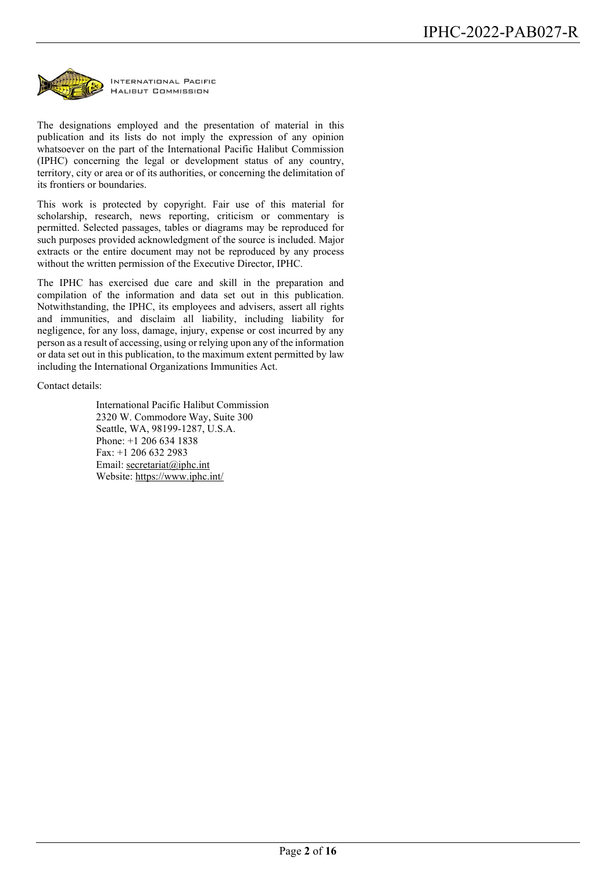

The designations employed and the presentation of material in this publication and its lists do not imply the expression of any opinion whatsoever on the part of the International Pacific Halibut Commission (IPHC) concerning the legal or development status of any country, territory, city or area or of its authorities, or concerning the delimitation of its frontiers or boundaries.

This work is protected by copyright. Fair use of this material for scholarship, research, news reporting, criticism or commentary is permitted. Selected passages, tables or diagrams may be reproduced for such purposes provided acknowledgment of the source is included. Major extracts or the entire document may not be reproduced by any process without the written permission of the Executive Director, IPHC.

The IPHC has exercised due care and skill in the preparation and compilation of the information and data set out in this publication. Notwithstanding, the IPHC, its employees and advisers, assert all rights and immunities, and disclaim all liability, including liability for negligence, for any loss, damage, injury, expense or cost incurred by any person as a result of accessing, using or relying upon any of the information or data set out in this publication, to the maximum extent permitted by law including the International Organizations Immunities Act.

Contact details:

International Pacific Halibut Commission 2320 W. Commodore Way, Suite 300 Seattle, WA, 98199-1287, U.S.A. Phone: +1 206 634 1838 Fax: +1 206 632 2983 Email: [secretariat@iphc.int](mailto:secretariat@iphc.int) Website:<https://www.iphc.int/>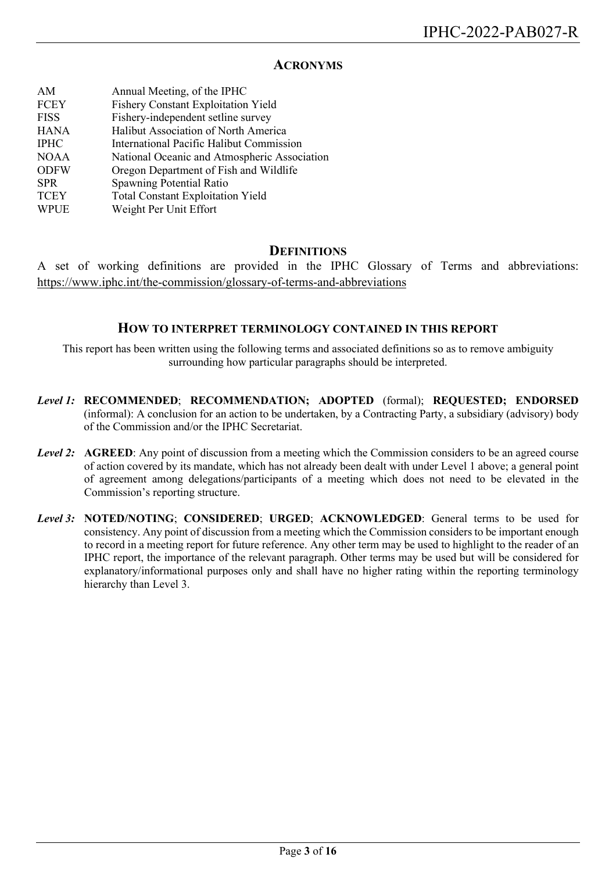#### **ACRONYMS**

| AM          | Annual Meeting, of the IPHC                  |
|-------------|----------------------------------------------|
| <b>FCEY</b> | <b>Fishery Constant Exploitation Yield</b>   |
| <b>FISS</b> | Fishery-independent setline survey           |
| <b>HANA</b> | Halibut Association of North America         |
| <b>IPHC</b> | International Pacific Halibut Commission     |
| <b>NOAA</b> | National Oceanic and Atmospheric Association |
| <b>ODFW</b> | Oregon Department of Fish and Wildlife       |
| <b>SPR</b>  | Spawning Potential Ratio                     |
| <b>TCEY</b> | <b>Total Constant Exploitation Yield</b>     |
| <b>WPUE</b> | Weight Per Unit Effort                       |
|             |                                              |

#### **DEFINITIONS**

A set of working definitions are provided in the IPHC Glossary of Terms and abbreviations: <https://www.iphc.int/the-commission/glossary-of-terms-and-abbreviations>

#### **HOW TO INTERPRET TERMINOLOGY CONTAINED IN THIS REPORT**

This report has been written using the following terms and associated definitions so as to remove ambiguity surrounding how particular paragraphs should be interpreted.

- *Level 1:* **RECOMMENDED**; **RECOMMENDATION; ADOPTED** (formal); **REQUESTED; ENDORSED** (informal): A conclusion for an action to be undertaken, by a Contracting Party, a subsidiary (advisory) body of the Commission and/or the IPHC Secretariat.
- *Level 2:* **AGREED**: Any point of discussion from a meeting which the Commission considers to be an agreed course of action covered by its mandate, which has not already been dealt with under Level 1 above; a general point of agreement among delegations/participants of a meeting which does not need to be elevated in the Commission's reporting structure.
- *Level 3:* **NOTED/NOTING**; **CONSIDERED**; **URGED**; **ACKNOWLEDGED**: General terms to be used for consistency. Any point of discussion from a meeting which the Commission considers to be important enough to record in a meeting report for future reference. Any other term may be used to highlight to the reader of an IPHC report, the importance of the relevant paragraph. Other terms may be used but will be considered for explanatory/informational purposes only and shall have no higher rating within the reporting terminology hierarchy than Level 3.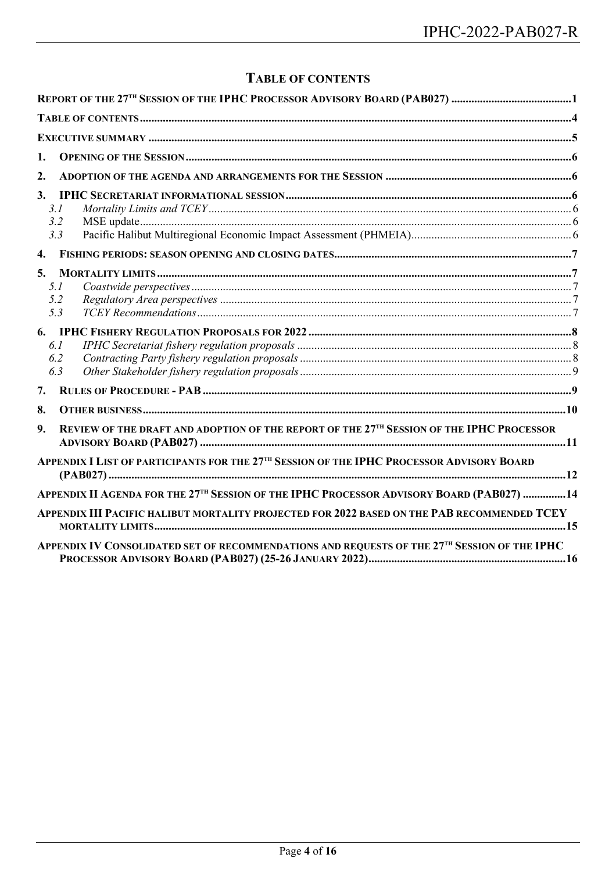# **TABLE OF CONTENTS**

<span id="page-3-0"></span>

| 1.               |                                                                                                       |  |
|------------------|-------------------------------------------------------------------------------------------------------|--|
| $\overline{2}$ . |                                                                                                       |  |
| 3 <sub>1</sub>   |                                                                                                       |  |
|                  | 3.1                                                                                                   |  |
|                  | 3.2                                                                                                   |  |
|                  | 3.3                                                                                                   |  |
| $\overline{4}$ . |                                                                                                       |  |
| 5.               |                                                                                                       |  |
|                  | 5.1                                                                                                   |  |
|                  | 5.2                                                                                                   |  |
|                  | 5.3                                                                                                   |  |
|                  |                                                                                                       |  |
|                  | 6.1                                                                                                   |  |
|                  | 6.2<br>6.3                                                                                            |  |
|                  |                                                                                                       |  |
| 7.               |                                                                                                       |  |
| 8.               |                                                                                                       |  |
| 9.               | REVIEW OF THE DRAFT AND ADOPTION OF THE REPORT OF THE 27TH SESSION OF THE IPHC PROCESSOR              |  |
|                  | APPENDIX I LIST OF PARTICIPANTS FOR THE 27 <sup>TH</sup> SESSION OF THE IPHC PROCESSOR ADVISORY BOARD |  |
|                  | APPENDIX II AGENDA FOR THE 27 <sup>TH</sup> SESSION OF THE IPHC PROCESSOR ADVISORY BOARD (PAB027) 14  |  |
|                  | APPENDIX III PACIFIC HALIBUT MORTALITY PROJECTED FOR 2022 BASED ON THE PAB RECOMMENDED TCEY           |  |
|                  | APPENDIX IV CONSOLIDATED SET OF RECOMMENDATIONS AND REQUESTS OF THE 27TH SESSION OF THE IPHC          |  |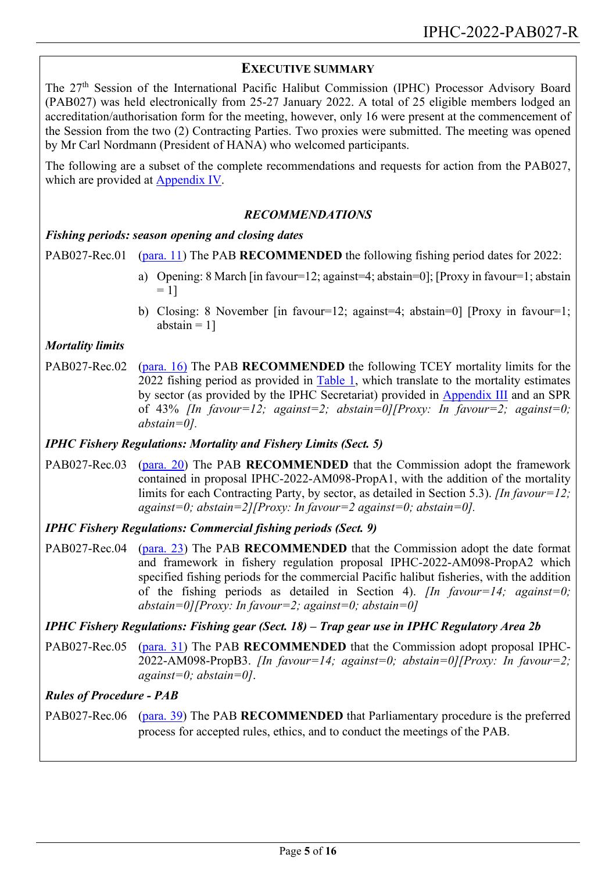### <span id="page-4-0"></span>**EXECUTIVE SUMMARY**

The 27th Session of the International Pacific Halibut Commission (IPHC) Processor Advisory Board (PAB027) was held electronically from 25-27 January 2022. A total of 25 eligible members lodged an accreditation/authorisation form for the meeting, however, only 16 were present at the commencement of the Session from the two (2) Contracting Parties. Two proxies were submitted. The meeting was opened by Mr Carl Nordmann (President of HANA) who welcomed participants.

The following are a subset of the complete recommendations and requests for action from the PAB027, which are provided at [Appendix IV.](#page-11-0)

### *RECOMMENDATIONS*

### *Fishing periods: season opening and closing dates*

PAB027-Rec.01 [\(para. 11\)](#page-6-5) The PAB **RECOMMENDED** the following fishing period dates for 2022:

- a) Opening: 8 March [in favour=12; against=4; abstain=0]; [Proxy in favour=1; abstain  $= 11$
- b) Closing: 8 November [in favour=12; against=4; abstain=0] [Proxy in favour=1; abstain  $= 1$ ]

### *Mortality limits*

PAB027-Rec.02 [\(para.](#page-6-6) 16) The PAB **RECOMMENDED** the following TCEY mortality limits for the 2022 fishing period as provided in [Table 1,](#page-7-3) which translate to the mortality estimates by sector (as provided by the IPHC Secretariat) provided in [Appendix III](#page-14-0) and an SPR of 43% *[In favour=12; against=2; abstain=0][Proxy: In favour=2; against=0; abstain=0].*

### *IPHC Fishery Regulations: Mortality and Fishery Limits (Sect. 5)*

PAB027-Rec.03 [\(para. 20\)](#page-7-4) The PAB **RECOMMENDED** that the Commission adopt the framework contained in proposal IPHC-2022-AM098-PropA1, with the addition of the mortality limits for each Contracting Party, by sector, as detailed in Section 5.3). *[In favour=12; against=0; abstain=2][Proxy: In favour=2 against=0; abstain=0].*

*IPHC Fishery Regulations: Commercial fishing periods (Sect. 9)*

PAB027-Rec.04 [\(para.](#page-7-5) 23) The PAB **RECOMMENDED** that the Commission adopt the date format and framework in fishery regulation proposal IPHC-2022-AM098-PropA2 which specified fishing periods for the commercial Pacific halibut fisheries, with the addition of the fishing periods as detailed in Section 4). *[In favour=14; against=0; abstain=0][Proxy: In favour=2; against=0; abstain=0]*

### *IPHC Fishery Regulations: Fishing gear (Sect. 18) – Trap gear use in IPHC Regulatory Area 2b*

PAB027-Rec.05 [\(para.](#page-8-2) 31) The PAB **RECOMMENDED** that the Commission adopt proposal IPHC-2022-AM098-PropB3. *[In favour=14; against=0; abstain=0][Proxy: In favour=2; against=0; abstain=0]*.

### *Rules of Procedure - PAB*

PAB027-Rec.06 [\(para.](#page-9-1) 39) The PAB **RECOMMENDED** that Parliamentary procedure is the preferred process for accepted rules, ethics, and to conduct the meetings of the PAB.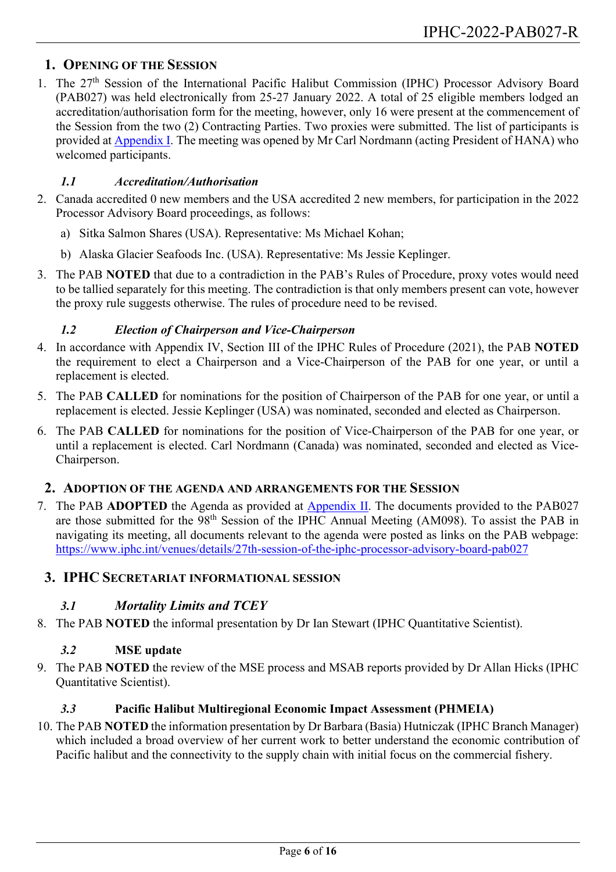### <span id="page-5-0"></span>**1. OPENING OF THE SESSION**

1. The 27<sup>th</sup> Session of the International Pacific Halibut Commission (IPHC) Processor Advisory Board (PAB027) was held electronically from 25-27 January 2022. A total of 25 eligible members lodged an accreditation/authorisation form for the meeting, however, only 16 were present at the commencement of the Session from the two (2) Contracting Parties. Two proxies were submitted. The list of participants is provided at [Appendix I.](#page-11-0) The meeting was opened by Mr Carl Nordmann (acting President of HANA) who welcomed participants.

#### *1.1 Accreditation/Authorisation*

- 2. Canada accredited 0 new members and the USA accredited 2 new members, for participation in the 2022 Processor Advisory Board proceedings, as follows:
	- a) Sitka Salmon Shares (USA). Representative: Ms Michael Kohan;
	- b) Alaska Glacier Seafoods Inc. (USA). Representative: Ms Jessie Keplinger.
- 3. The PAB **NOTED** that due to a contradiction in the PAB's Rules of Procedure, proxy votes would need to be tallied separately for this meeting. The contradiction is that only members present can vote, however the proxy rule suggests otherwise. The rules of procedure need to be revised.

#### *1.2 Election of Chairperson and Vice-Chairperson*

- 4. In accordance with Appendix IV, Section III of the IPHC Rules of Procedure (2021), the PAB **NOTED** the requirement to elect a Chairperson and a Vice-Chairperson of the PAB for one year, or until a replacement is elected.
- 5. The PAB **CALLED** for nominations for the position of Chairperson of the PAB for one year, or until a replacement is elected. Jessie Keplinger (USA) was nominated, seconded and elected as Chairperson.
- 6. The PAB **CALLED** for nominations for the position of Vice-Chairperson of the PAB for one year, or until a replacement is elected. Carl Nordmann (Canada) was nominated, seconded and elected as Vice-Chairperson.

#### <span id="page-5-1"></span>**2. ADOPTION OF THE AGENDA AND ARRANGEMENTS FOR THE SESSION**

7. The PAB **ADOPTED** the Agenda as provided at [Appendix II.](#page-13-0) The documents provided to the PAB027 are those submitted for the 98th Session of the IPHC Annual Meeting (AM098). To assist the PAB in navigating its meeting, all documents relevant to the agenda were posted as links on the PAB webpage: <https://www.iphc.int/venues/details/27th-session-of-the-iphc-processor-advisory-board-pab027>

### <span id="page-5-3"></span><span id="page-5-2"></span>**3. IPHC SECRETARIAT INFORMATIONAL SESSION**

### *3.1 Mortality Limits and TCEY*

<span id="page-5-4"></span>8. The PAB **NOTED** the informal presentation by Dr Ian Stewart (IPHC Quantitative Scientist).

### *3.2* **MSE update**

9. The PAB **NOTED** the review of the MSE process and MSAB reports provided by Dr Allan Hicks (IPHC Quantitative Scientist).

### *3.3* **Pacific Halibut Multiregional Economic Impact Assessment (PHMEIA)**

<span id="page-5-5"></span>10. The PAB **NOTED** the information presentation by Dr Barbara (Basia) Hutniczak (IPHC Branch Manager) which included a broad overview of her current work to better understand the economic contribution of Pacific halibut and the connectivity to the supply chain with initial focus on the commercial fishery.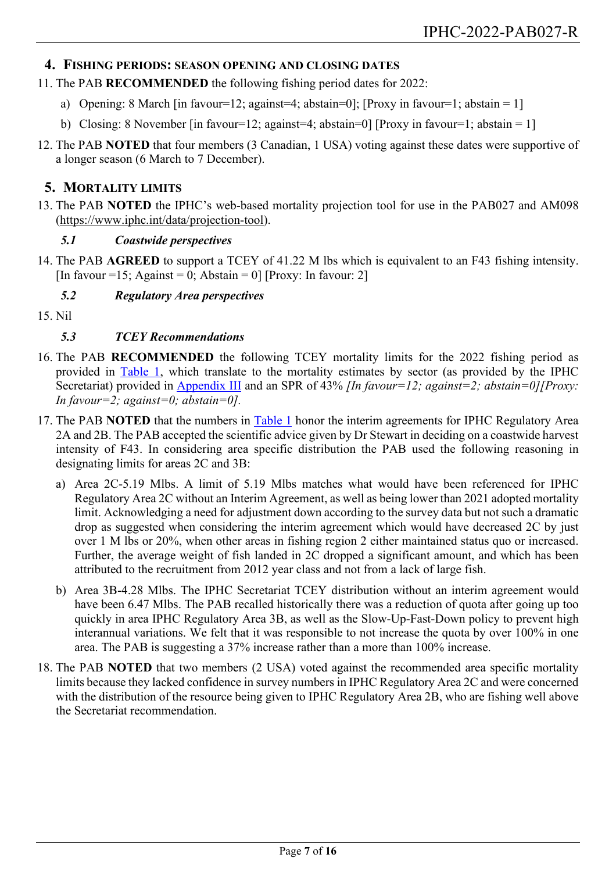### <span id="page-6-0"></span>**4. FISHING PERIODS: SEASON OPENING AND CLOSING DATES**

- <span id="page-6-5"></span>11. The PAB **RECOMMENDED** the following fishing period dates for 2022:
	- a) Opening: 8 March [in favour=12; against=4; abstain=0]; [Proxy in favour=1; abstain = 1]
	- b) Closing: 8 November [in favour=12; against=4; abstain=0] [Proxy in favour=1; abstain = 1]
- 12. The PAB **NOTED** that four members (3 Canadian, 1 USA) voting against these dates were supportive of a longer season (6 March to 7 December).

### <span id="page-6-1"></span>**5. MORTALITY LIMITS**

13. The PAB **NOTED** the IPHC's web-based mortality projection tool for use in the PAB027 and AM098 [\(https://www.iphc.int/data/projection-tool\)](https://www.iphc.int/data/projection-tool).

### *5.1 Coastwide perspectives*

<span id="page-6-2"></span>14. The PAB **AGREED** to support a TCEY of 41.22 M lbs which is equivalent to an F43 fishing intensity. [In favour =15; Against = 0; Abstain = 0] [Proxy: In favour: 2]

### *5.2 Regulatory Area perspectives*

<span id="page-6-4"></span><span id="page-6-3"></span>15. Nil

### *5.3 TCEY Recommendations*

- <span id="page-6-6"></span>16. The PAB **RECOMMENDED** the following TCEY mortality limits for the 2022 fishing period as provided in [Table 1,](#page-7-3) which translate to the mortality estimates by sector (as provided by the IPHC Secretariat) provided in **Appendix III** and an SPR of 43% *[In favour=12; against=2; abstain=0] [Proxy: In favour=2; against=0; abstain=0].*
- 17. The PAB **NOTED** that the numbers in [Table 1](#page-7-3) honor the interim agreements for IPHC Regulatory Area 2A and 2B. The PAB accepted the scientific advice given by Dr Stewart in deciding on a coastwide harvest intensity of F43. In considering area specific distribution the PAB used the following reasoning in designating limits for areas 2C and 3B:
	- a) Area 2C-5.19 Mlbs. A limit of 5.19 Mlbs matches what would have been referenced for IPHC Regulatory Area 2C without an Interim Agreement, as well as being lower than 2021 adopted mortality limit. Acknowledging a need for adjustment down according to the survey data but not such a dramatic drop as suggested when considering the interim agreement which would have decreased 2C by just over 1 M lbs or 20%, when other areas in fishing region 2 either maintained status quo or increased. Further, the average weight of fish landed in 2C dropped a significant amount, and which has been attributed to the recruitment from 2012 year class and not from a lack of large fish.
	- b) Area 3B-4.28 Mlbs. The IPHC Secretariat TCEY distribution without an interim agreement would have been 6.47 Mlbs. The PAB recalled historically there was a reduction of quota after going up too quickly in area IPHC Regulatory Area 3B, as well as the Slow-Up-Fast-Down policy to prevent high interannual variations. We felt that it was responsible to not increase the quota by over 100% in one area. The PAB is suggesting a 37% increase rather than a more than 100% increase.
- 18. The PAB **NOTED** that two members (2 USA) voted against the recommended area specific mortality limits because they lacked confidence in survey numbers in IPHC Regulatory Area 2C and were concerned with the distribution of the resource being given to IPHC Regulatory Area 2B, who are fishing well above the Secretariat recommendation.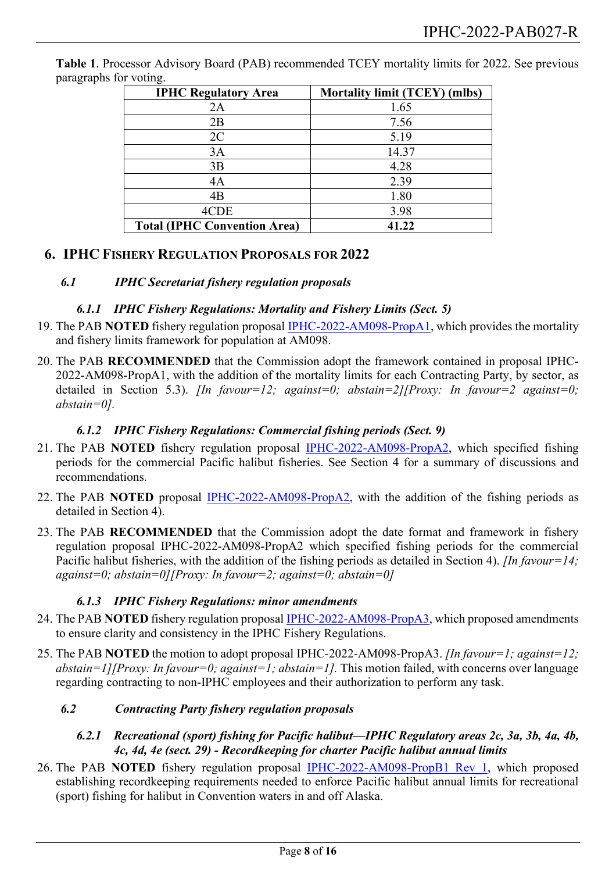| <b>IPHC Regulatory Area</b>         | <b>Mortality limit (TCEY) (mlbs)</b> |
|-------------------------------------|--------------------------------------|
| 2A                                  | 1.65                                 |
| 2B                                  | 7.56                                 |
| 2C                                  | 5.19                                 |
| 3A                                  | 14.37                                |
| 3B                                  | 4.28                                 |
| 4A                                  | 2.39                                 |
| 4B                                  | 1.80                                 |
| 4CDE                                | 3.98                                 |
| <b>Total (IPHC Convention Area)</b> | 41.22                                |

<span id="page-7-3"></span>**Table 1**. Processor Advisory Board (PAB) recommended TCEY mortality limits for 2022. See previous paragraphs for voting.

### <span id="page-7-1"></span><span id="page-7-0"></span>**6. IPHC FISHERY REGULATION PROPOSALS FOR 2022**

#### *6.1 IPHC Secretariat fishery regulation proposals*

#### *6.1.1 IPHC Fishery Regulations: Mortality and Fishery Limits (Sect. 5)*

- 19. The PAB **NOTED** fishery regulation proposal [IPHC-2022-AM098-PropA1,](https://www.iphc.int/venues/details/27th-session-of-the-iphc-processor-advisory-board-pab027) which provides the mortality and fishery limits framework for population at AM098.
- <span id="page-7-4"></span>20. The PAB **RECOMMENDED** that the Commission adopt the framework contained in proposal IPHC-2022-AM098-PropA1, with the addition of the mortality limits for each Contracting Party, by sector, as detailed in Section 5.3). *[In favour=12; against=0; abstain=2][Proxy: In favour=2 against=0; abstain=0].*

#### *6.1.2 IPHC Fishery Regulations: Commercial fishing periods (Sect. 9)*

- 21. The PAB **NOTED** fishery regulation proposal [IPHC-2022-AM098-PropA2,](https://www.iphc.int/venues/details/27th-session-of-the-iphc-processor-advisory-board-pab027) which specified fishing periods for the commercial Pacific halibut fisheries. See Section 4 for a summary of discussions and recommendations.
- 22. The PAB **NOTED** proposal [IPHC-2022-AM098-PropA2,](https://www.iphc.int/venues/details/27th-session-of-the-iphc-processor-advisory-board-pab027) with the addition of the fishing periods as detailed in Section 4).
- <span id="page-7-5"></span>23. The PAB **RECOMMENDED** that the Commission adopt the date format and framework in fishery regulation proposal IPHC-2022-AM098-PropA2 which specified fishing periods for the commercial Pacific halibut fisheries, with the addition of the fishing periods as detailed in Section 4). *[In favour=14; against=0; abstain=0][Proxy: In favour=2; against=0; abstain=0]*

### *6.1.3 IPHC Fishery Regulations: minor amendments*

- 24. The PAB **NOTED** fishery regulation proposa[l IPHC-2022-AM098-PropA3,](https://www.iphc.int/venues/details/27th-session-of-the-iphc-processor-advisory-board-pab027) which proposed amendments to ensure clarity and consistency in the IPHC Fishery Regulations.
- 25. The PAB **NOTED** the motion to adopt proposal IPHC-2022-AM098-PropA3. *[In favour=1; against=12; abstain=1][Proxy: In favour=0; against=1; abstain=1].* This motion failed, with concerns over language regarding contracting to non-IPHC employees and their authorization to perform any task.

### <span id="page-7-2"></span>*6.2 Contracting Party fishery regulation proposals*

#### *6.2.1 Recreational (sport) fishing for Pacific halibut—IPHC Regulatory areas 2c, 3a, 3b, 4a, 4b, 4c, 4d, 4e (sect. 29) - Recordkeeping for charter Pacific halibut annual limits*

26. The PAB **NOTED** fishery regulation proposal [IPHC-2022-AM098-PropB1 Rev\\_1,](https://www.iphc.int/venues/details/27th-session-of-the-iphc-processor-advisory-board-pab027) which proposed establishing recordkeeping requirements needed to enforce Pacific halibut annual limits for recreational (sport) fishing for halibut in Convention waters in and off Alaska.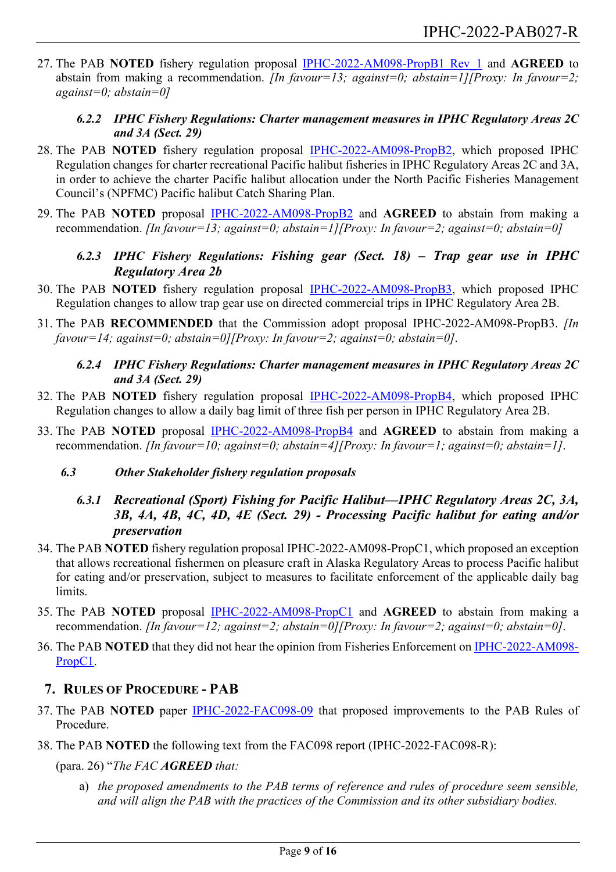27. The PAB **NOTED** fishery regulation proposal [IPHC-2022-AM098-PropB1 Rev\\_1](https://www.iphc.int/venues/details/27th-session-of-the-iphc-processor-advisory-board-pab027) and **AGREED** to abstain from making a recommendation. *[In favour=13; against=0; abstain=1][Proxy: In favour=2; against=0; abstain=0]*

### *6.2.2 IPHC Fishery Regulations: Charter management measures in IPHC Regulatory Areas 2C and 3A (Sect. 29)*

- 28. The PAB **NOTED** fishery regulation proposal [IPHC-2022-AM098-PropB2,](https://www.iphc.int/venues/details/27th-session-of-the-iphc-processor-advisory-board-pab027) which proposed IPHC Regulation changes for charter recreational Pacific halibut fisheries in IPHC Regulatory Areas 2C and 3A, in order to achieve the charter Pacific halibut allocation under the North Pacific Fisheries Management Council's (NPFMC) Pacific halibut Catch Sharing Plan.
- 29. The PAB **NOTED** proposal [IPHC-2022-AM098-PropB2](https://www.iphc.int/venues/details/27th-session-of-the-iphc-processor-advisory-board-pab027) and **AGREED** to abstain from making a recommendation. *[In favour=13; against=0; abstain=1][Proxy: In favour=2; against=0; abstain=0]*
	- *6.2.3 IPHC Fishery Regulations: Fishing gear (Sect. 18) – Trap gear use in IPHC Regulatory Area 2b*
- 30. The PAB **NOTED** fishery regulation proposal [IPHC-2022-AM098-PropB3,](https://www.iphc.int/venues/details/27th-session-of-the-iphc-processor-advisory-board-pab027) which proposed IPHC Regulation changes to allow trap gear use on directed commercial trips in IPHC Regulatory Area 2B.
- <span id="page-8-2"></span>31. The PAB **RECOMMENDED** that the Commission adopt proposal IPHC-2022-AM098-PropB3. *[In favour=14; against=0; abstain=0][Proxy: In favour=2; against=0; abstain=0]*.
	- *6.2.4 IPHC Fishery Regulations: Charter management measures in IPHC Regulatory Areas 2C and 3A (Sect. 29)*
- 32. The PAB **NOTED** fishery regulation proposal [IPHC-2022-AM098-PropB4,](https://www.iphc.int/venues/details/27th-session-of-the-iphc-processor-advisory-board-pab027) which proposed IPHC Regulation changes to allow a daily bag limit of three fish per person in IPHC Regulatory Area 2B.
- 33. The PAB **NOTED** proposal [IPHC-2022-AM098-PropB4](https://www.iphc.int/venues/details/27th-session-of-the-iphc-processor-advisory-board-pab027) and **AGREED** to abstain from making a recommendation. *[In favour=10; against=0; abstain=4][Proxy: In favour=1; against=0; abstain=1]*.

### <span id="page-8-0"></span>*6.3 Other Stakeholder fishery regulation proposals*

- *6.3.1 Recreational (Sport) Fishing for Pacific Halibut—IPHC Regulatory Areas 2C, 3A, 3B, 4A, 4B, 4C, 4D, 4E (Sect. 29) - Processing Pacific halibut for eating and/or preservation*
- 34. The PAB **NOTED** fishery regulation proposal IPHC-2022-AM098-PropC1, which proposed an exception that allows recreational fishermen on pleasure craft in Alaska Regulatory Areas to process Pacific halibut for eating and/or preservation, subject to measures to facilitate enforcement of the applicable daily bag limits.
- 35. The PAB **NOTED** proposal [IPHC-2022-AM098-PropC1](https://www.iphc.int/venues/details/27th-session-of-the-iphc-processor-advisory-board-pab027) and **AGREED** to abstain from making a recommendation. *[In favour=12; against=2; abstain=0][Proxy: In favour=2; against=0; abstain=0]*.
- 36. The PAB **NOTED** that they did not hear the opinion from Fisheries Enforcement on [IPHC-2022-AM098-](https://www.iphc.int/venues/details/27th-session-of-the-iphc-processor-advisory-board-pab027) [PropC1.](https://www.iphc.int/venues/details/27th-session-of-the-iphc-processor-advisory-board-pab027)

### <span id="page-8-1"></span>**7. RULES OF PROCEDURE - PAB**

- 37. The PAB **NOTED** paper [IPHC-2022-FAC098-09](https://www.iphc.int/uploads/pdf/fac/fac098/iphc-2022-fac098-09.pdf) that proposed improvements to the PAB Rules of Procedure.
- 38. The PAB **NOTED** the following text from the FAC098 report (IPHC-2022-FAC098-R):

(para. 26) "*The FAC AGREED that:*

a) *the proposed amendments to the PAB terms of reference and rules of procedure seem sensible, and will align the PAB with the practices of the Commission and its other subsidiary bodies.*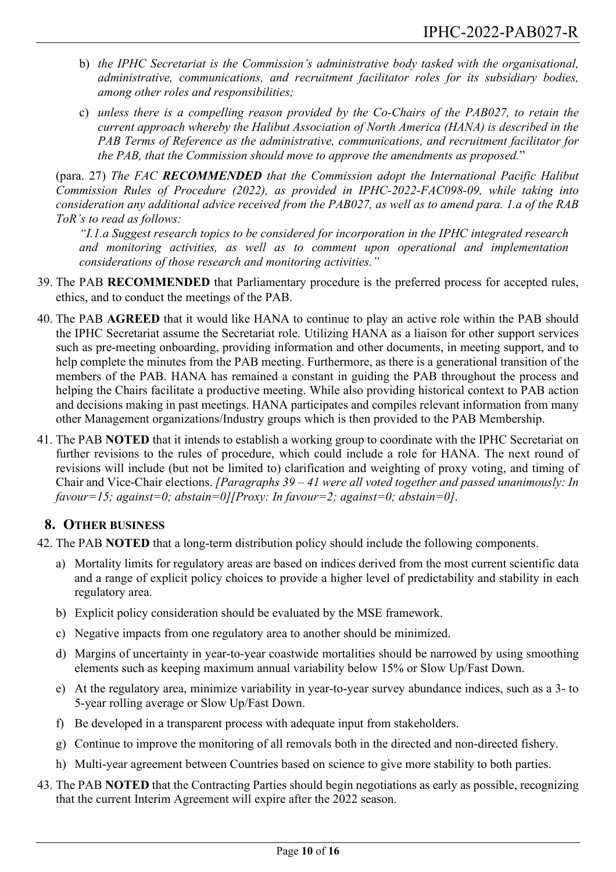- b) *the IPHC Secretariat is the Commission's administrative body tasked with the organisational, administrative, communications, and recruitment facilitator roles for its subsidiary bodies, among other roles and responsibilities;*
- c) *unless there is a compelling reason provided by the Co-Chairs of the PAB027, to retain the current approach whereby the Halibut Association of North America (HANA) is described in the PAB Terms of Reference as the administrative, communications, and recruitment facilitator for the PAB, that the Commission should move to approve the amendments as proposed.*"

(para. 27) *The FAC RECOMMENDED that the Commission adopt the International Pacific Halibut Commission Rules of Procedure (2022), as provided in IPHC-2022-FAC098-09, while taking into consideration any additional advice received from the PAB027, as well as to amend para. 1.a of the RAB ToR's to read as follows:*

*"I.1.a Suggest research topics to be considered for incorporation in the IPHC integrated research and monitoring activities, as well as to comment upon operational and implementation considerations of those research and monitoring activities."*

- <span id="page-9-1"></span>39. The PAB **RECOMMENDED** that Parliamentary procedure is the preferred process for accepted rules, ethics, and to conduct the meetings of the PAB.
- 40. The PAB **AGREED** that it would like HANA to continue to play an active role within the PAB should the IPHC Secretariat assume the Secretariat role. Utilizing HANA as a liaison for other support services such as pre-meeting onboarding, providing information and other documents, in meeting support, and to help complete the minutes from the PAB meeting. Furthermore, as there is a generational transition of the members of the PAB. HANA has remained a constant in guiding the PAB throughout the process and helping the Chairs facilitate a productive meeting. While also providing historical context to PAB action and decisions making in past meetings. HANA participates and compiles relevant information from many other Management organizations/Industry groups which is then provided to the PAB Membership.
- 41. The PAB **NOTED** that it intends to establish a working group to coordinate with the IPHC Secretariat on further revisions to the rules of procedure, which could include a role for HANA. The next round of revisions will include (but not be limited to) clarification and weighting of proxy voting, and timing of Chair and Vice-Chair elections. *[Paragraphs 39 – 41 were all voted together and passed unanimously: In favour=15; against=0; abstain=0][Proxy: In favour=2; against=0; abstain=0]*.

## <span id="page-9-0"></span>**8. OTHER BUSINESS**

<span id="page-9-2"></span>42. The PAB **NOTED** that a long-term distribution policy should include the following components.

- a) Mortality limits for regulatory areas are based on indices derived from the most current scientific data and a range of explicit policy choices to provide a higher level of predictability and stability in each regulatory area.
- b) Explicit policy consideration should be evaluated by the MSE framework.
- c) Negative impacts from one regulatory area to another should be minimized.
- d) Margins of uncertainty in year-to-year coastwide mortalities should be narrowed by using smoothing elements such as keeping maximum annual variability below 15% or Slow Up/Fast Down.
- e) At the regulatory area, minimize variability in year-to-year survey abundance indices, such as a 3- to 5-year rolling average or Slow Up/Fast Down.
- f) Be developed in a transparent process with adequate input from stakeholders.
- g) Continue to improve the monitoring of all removals both in the directed and non-directed fishery.
- h) Multi-year agreement between Countries based on science to give more stability to both parties.
- <span id="page-9-3"></span>43. The PAB **NOTED** that the Contracting Parties should begin negotiations as early as possible, recognizing that the current Interim Agreement will expire after the 2022 season.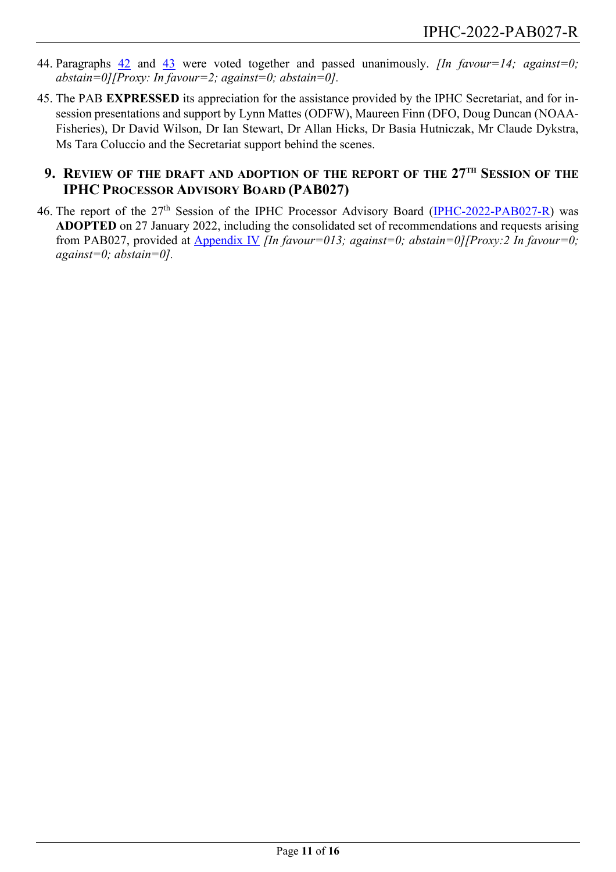- 44. Paragraphs [42](#page-9-2) and [43](#page-9-3) were voted together and passed unanimously. *[In favour=14; against=0; abstain=0][Proxy: In favour=2; against=0; abstain=0].*
- 45. The PAB **EXPRESSED** its appreciation for the assistance provided by the IPHC Secretariat, and for insession presentations and support by Lynn Mattes (ODFW), Maureen Finn (DFO, Doug Duncan (NOAA-Fisheries), Dr David Wilson, Dr Ian Stewart, Dr Allan Hicks, Dr Basia Hutniczak, Mr Claude Dykstra, Ms Tara Coluccio and the Secretariat support behind the scenes.

# <span id="page-10-0"></span>**9. REVIEW OF THE DRAFT AND ADOPTION OF THE REPORT OF THE 27TH SESSION OF THE IPHC PROCESSOR ADVISORY BOARD (PAB027)**

46. The report of the 27<sup>th</sup> Session of the IPHC Processor Advisory Board [\(IPHC-2022-PAB027-R\)](https://www.iphc.int/venues/details/27th-session-of-the-iphc-processor-advisory-board-pab027) was **ADOPTED** on 27 January 2022, including the consolidated set of recommendations and requests arising from PAB027, provided at [Appendix](#page-15-0) IV *[In favour=013; against=0; abstain=0][Proxy:2 In favour=0; against=0; abstain=0].*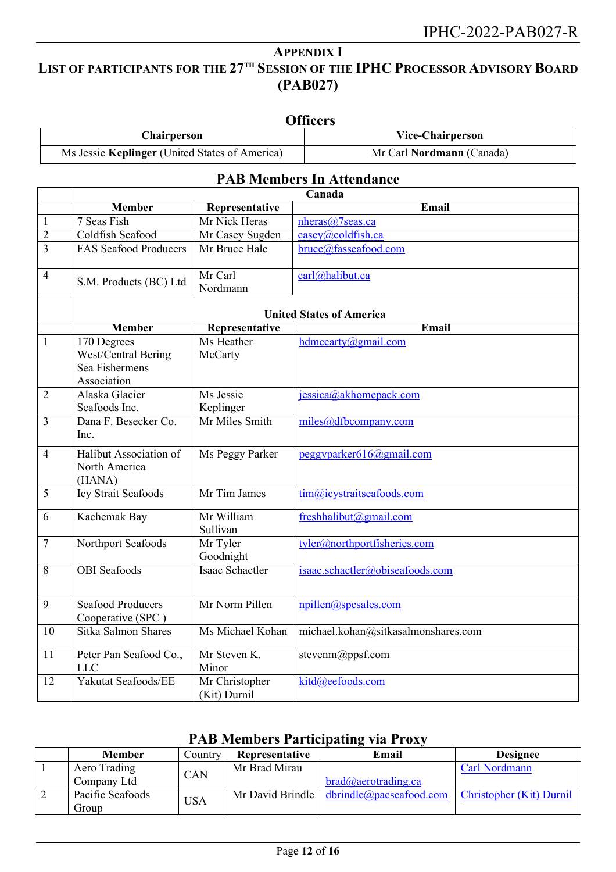# <span id="page-11-0"></span>**APPENDIX I LIST OF PARTICIPANTS FOR THE 27TH SESSION OF THE IPHC PROCESSOR ADVISORY BOARD (PAB027)**

|                |                                                                                                           |                                | <b>Officers</b>                     |  |  |  |  |
|----------------|-----------------------------------------------------------------------------------------------------------|--------------------------------|-------------------------------------|--|--|--|--|
|                | Chairperson                                                                                               |                                | <b>Vice-Chairperson</b>             |  |  |  |  |
|                | Ms Jessie Keplinger (United States of America)                                                            |                                | Mr Carl Nordmann (Canada)           |  |  |  |  |
|                |                                                                                                           |                                | <b>PAB Members In Attendance</b>    |  |  |  |  |
|                |                                                                                                           |                                | Canada                              |  |  |  |  |
|                | <b>Member</b>                                                                                             | Representative                 | Email                               |  |  |  |  |
| $\mathbf{1}$   | 7 Seas Fish                                                                                               | Mr Nick Heras                  | nheras@7seas.ca                     |  |  |  |  |
| $\overline{2}$ | Coldfish Seafood                                                                                          | Mr Casey Sugden                | casey@coldfish.ca                   |  |  |  |  |
| 3              | <b>FAS Seafood Producers</b>                                                                              | Mr Bruce Hale                  | bruce@fasseafood.com                |  |  |  |  |
| $\overline{4}$ | S.M. Products (BC) Ltd                                                                                    | Mr Carl<br>Nordmann            | carl@halibut.ca                     |  |  |  |  |
|                |                                                                                                           |                                | <b>United States of America</b>     |  |  |  |  |
|                | <b>Member</b>                                                                                             | Representative                 | <b>Email</b>                        |  |  |  |  |
| 1              | $\overline{170}$ Degrees<br>Ms Heather<br>West/Central Bering<br>McCarty<br>Sea Fishermens<br>Association |                                | hdmccarty@gmail.com                 |  |  |  |  |
| $\overline{2}$ | Alaska Glacier<br>Ms Jessie                                                                               |                                | jessica@akhomepack.com              |  |  |  |  |
|                | Seafoods Inc.                                                                                             | Keplinger                      |                                     |  |  |  |  |
| $\overline{3}$ | Dana F. Besecker Co.<br>Inc.                                                                              | Mr Miles Smith                 | miles@dfticompany.com               |  |  |  |  |
| $\overline{4}$ | Halibut Association of<br>North America<br>(HANA)                                                         | Ms Peggy Parker                | peggyparker616@gmail.com            |  |  |  |  |
| 5              | Icy Strait Seafoods                                                                                       | Mr Tim James                   | tim@icystraitseafoods.com           |  |  |  |  |
| 6              | Kachemak Bay                                                                                              | Mr William<br>Sullivan         | freshhalibut@gmail.com              |  |  |  |  |
| $\tau$         | Northport Seafoods                                                                                        | Mr Tyler<br>Goodnight          | tyler@northportfisheries.com        |  |  |  |  |
| 8              | OBI Seafoods<br>Isaac Schactler                                                                           |                                | isaac.schactler@obiseafoods.com     |  |  |  |  |
| 9              | <b>Seafood Producers</b><br>Cooperative (SPC)                                                             | Mr Norm Pillen                 | npillen@spcsales.com                |  |  |  |  |
| 10             | Sitka Salmon Shares                                                                                       | Ms Michael Kohan               | michael.kohan@sitkasalmonshares.com |  |  |  |  |
| 11             | Peter Pan Seafood Co.,<br><b>LLC</b>                                                                      | Mr Steven K.<br>Minor          | stevenm@ppsf.com                    |  |  |  |  |
| 12             | Yakutat Seafoods/EE                                                                                       | Mr Christopher<br>(Kit) Durnil | kitd@eefoods.com                    |  |  |  |  |

# **PAB Members Participating via Proxy**

| <b>Member</b>    | Country    | Representative | Email                                                                                                                                                                                                                                                                                                                                                                                                                                                                      | <b>Designee</b>      |
|------------------|------------|----------------|----------------------------------------------------------------------------------------------------------------------------------------------------------------------------------------------------------------------------------------------------------------------------------------------------------------------------------------------------------------------------------------------------------------------------------------------------------------------------|----------------------|
| Aero Trading     | CAN        | Mr Brad Mirau  |                                                                                                                                                                                                                                                                                                                                                                                                                                                                            | <b>Carl Nordmann</b> |
| Company Ltd      |            |                | $brad(a)$ aerotrading.ca                                                                                                                                                                                                                                                                                                                                                                                                                                                   |                      |
| Pacific Seafoods | <b>JSA</b> |                | Mr David Brindle $\frac{d \text{brindle}(\partial \text{paces} - \text{a} \text{cos} \cdot \text{c} \cdot \text{d} \cdot \text{c} \cdot \text{d} \cdot \text{c} \cdot \text{d} \cdot \text{d} \cdot \text{d} \cdot \text{d} \cdot \text{d} \cdot \text{d} \cdot \text{d} \cdot \text{d} \cdot \text{d} \cdot \text{d} \cdot \text{d} \cdot \text{d} \cdot \text{d} \cdot \text{d} \cdot \text{d} \cdot \text{d} \cdot \text{d} \cdot \text{d} \cdot \text{d} \cdot \text{$ |                      |
| Group            |            |                |                                                                                                                                                                                                                                                                                                                                                                                                                                                                            |                      |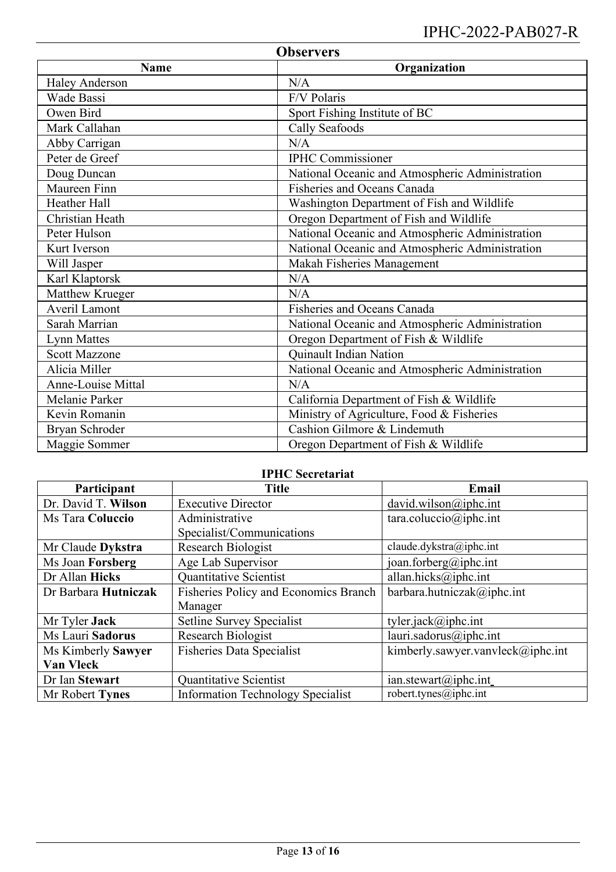# IPHC-2022-PAB027-R

| <b>Observers</b>            |                                                 |  |  |
|-----------------------------|-------------------------------------------------|--|--|
| <b>Name</b><br>Organization |                                                 |  |  |
| <b>Haley Anderson</b>       | N/A                                             |  |  |
| Wade Bassi                  | F/V Polaris                                     |  |  |
| Owen Bird                   | Sport Fishing Institute of BC                   |  |  |
| Mark Callahan               | Cally Seafoods                                  |  |  |
| Abby Carrigan               | N/A                                             |  |  |
| Peter de Greef              | <b>IPHC</b> Commissioner                        |  |  |
| Doug Duncan                 | National Oceanic and Atmospheric Administration |  |  |
| Maureen Finn                | Fisheries and Oceans Canada                     |  |  |
| <b>Heather Hall</b>         | Washington Department of Fish and Wildlife      |  |  |
| Christian Heath             | Oregon Department of Fish and Wildlife          |  |  |
| Peter Hulson                | National Oceanic and Atmospheric Administration |  |  |
| Kurt Iverson                | National Oceanic and Atmospheric Administration |  |  |
| Will Jasper                 | Makah Fisheries Management                      |  |  |
| Karl Klaptorsk              | N/A                                             |  |  |
| Matthew Krueger             | N/A                                             |  |  |
| <b>Averil Lamont</b>        | Fisheries and Oceans Canada                     |  |  |
| Sarah Marrian               | National Oceanic and Atmospheric Administration |  |  |
| <b>Lynn Mattes</b>          | Oregon Department of Fish & Wildlife            |  |  |
| <b>Scott Mazzone</b>        | Quinault Indian Nation                          |  |  |
| Alicia Miller               | National Oceanic and Atmospheric Administration |  |  |
| Anne-Louise Mittal          | N/A                                             |  |  |
| Melanie Parker              | California Department of Fish & Wildlife        |  |  |
| Kevin Romanin               | Ministry of Agriculture, Food & Fisheries       |  |  |
| Bryan Schroder              | Cashion Gilmore & Lindemuth                     |  |  |
| Maggie Sommer               | Oregon Department of Fish & Wildlife            |  |  |

# **IPHC Secretariat**

| Participant                                                   | <b>Title</b>                             | Email                                        |  |  |  |
|---------------------------------------------------------------|------------------------------------------|----------------------------------------------|--|--|--|
| Dr. David T. Wilson                                           | <b>Executive Director</b>                | david.wilson@iphc.int                        |  |  |  |
| Ms Tara Coluccio                                              | Administrative                           | $\text{tara.coluccio}(\widehat{a})$ iphc.int |  |  |  |
|                                                               | Specialist/Communications                |                                              |  |  |  |
| Mr Claude Dykstra                                             | Research Biologist                       | claude.dykstra@iphc.int                      |  |  |  |
| Ms Joan Forsberg                                              | Age Lab Supervisor                       | joan.forberg@iphc.int                        |  |  |  |
| Dr Allan Hicks                                                | Quantitative Scientist                   | allan.hicks@iphc.int                         |  |  |  |
| Fisheries Policy and Economics Branch<br>Dr Barbara Hutniczak |                                          | barbara.hutniczak@iphc.int                   |  |  |  |
|                                                               | Manager                                  |                                              |  |  |  |
| Mr Tyler Jack                                                 | Setline Survey Specialist                | tyler.jack@iphc.int                          |  |  |  |
| Ms Lauri Sadorus                                              | Research Biologist                       | lauri.sadorus@iphc.int                       |  |  |  |
| Ms Kimberly Sawyer                                            | <b>Fisheries Data Specialist</b>         | kimberly.sawyer.vanvleck@iphc.int            |  |  |  |
| Van Vleck                                                     |                                          |                                              |  |  |  |
| Dr Ian Stewart                                                | Quantitative Scientist                   | ian. stewart@iphc.int                        |  |  |  |
| Mr Robert Tynes                                               | <b>Information Technology Specialist</b> | robert.tynes@iphc.int                        |  |  |  |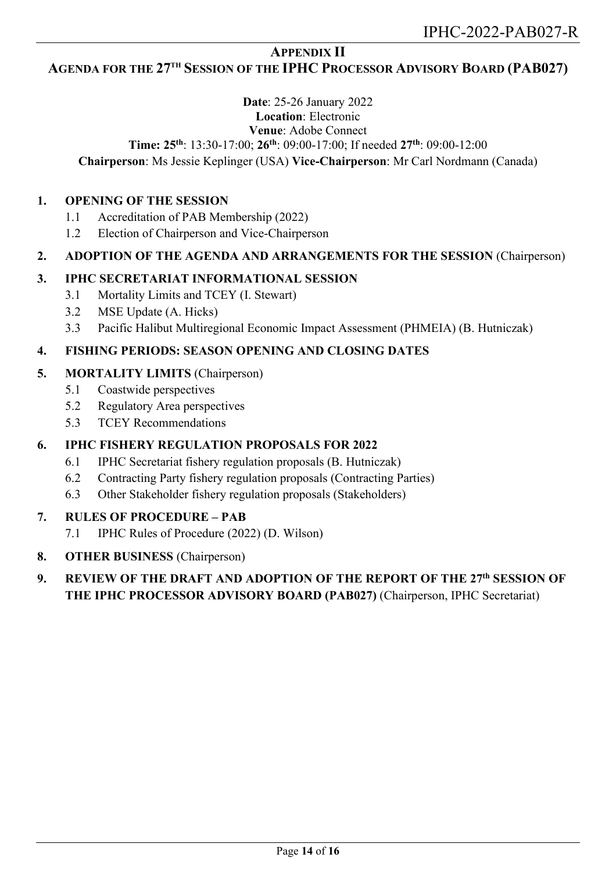### **APPENDIX II**

### <span id="page-13-0"></span>**AGENDA FOR THE 27TH SESSION OF THE IPHC PROCESSOR ADVISORY BOARD (PAB027)**

### **Date**: 25-26 January 2022 **Location**: Electronic **Venue**: Adobe Connect **Time: 25th**: 13:30-17:00; **26th**: 09:00-17:00; If needed **27th**: 09:00-12:00

### **Chairperson**: Ms Jessie Keplinger (USA) **Vice-Chairperson**: Mr Carl Nordmann (Canada)

#### **1. OPENING OF THE SESSION**

- 1.1 Accreditation of PAB Membership (2022)
- 1.2 Election of Chairperson and Vice-Chairperson

### **2. ADOPTION OF THE AGENDA AND ARRANGEMENTS FOR THE SESSION** (Chairperson)

### **3. IPHC SECRETARIAT INFORMATIONAL SESSION**

- 3.1 Mortality Limits and TCEY (I. Stewart)
- 3.2 MSE Update (A. Hicks)
- 3.3 Pacific Halibut Multiregional Economic Impact Assessment (PHMEIA) (B. Hutniczak)

### **4. FISHING PERIODS: SEASON OPENING AND CLOSING DATES**

#### **5. MORTALITY LIMITS** (Chairperson)

- 5.1 Coastwide perspectives
- 5.2 Regulatory Area perspectives
- 5.3 TCEY Recommendations

### **6. IPHC FISHERY REGULATION PROPOSALS FOR 2022**

- 6.1 IPHC Secretariat fishery regulation proposals (B. Hutniczak)
- 6.2 Contracting Party fishery regulation proposals (Contracting Parties)
- 6.3 Other Stakeholder fishery regulation proposals (Stakeholders)

### **7. RULES OF PROCEDURE – PAB**

- 7.1 IPHC Rules of Procedure (2022) (D. Wilson)
- **8. OTHER BUSINESS** (Chairperson)

### **9. REVIEW OF THE DRAFT AND ADOPTION OF THE REPORT OF THE 27th SESSION OF THE IPHC PROCESSOR ADVISORY BOARD (PAB027)** (Chairperson, IPHC Secretariat)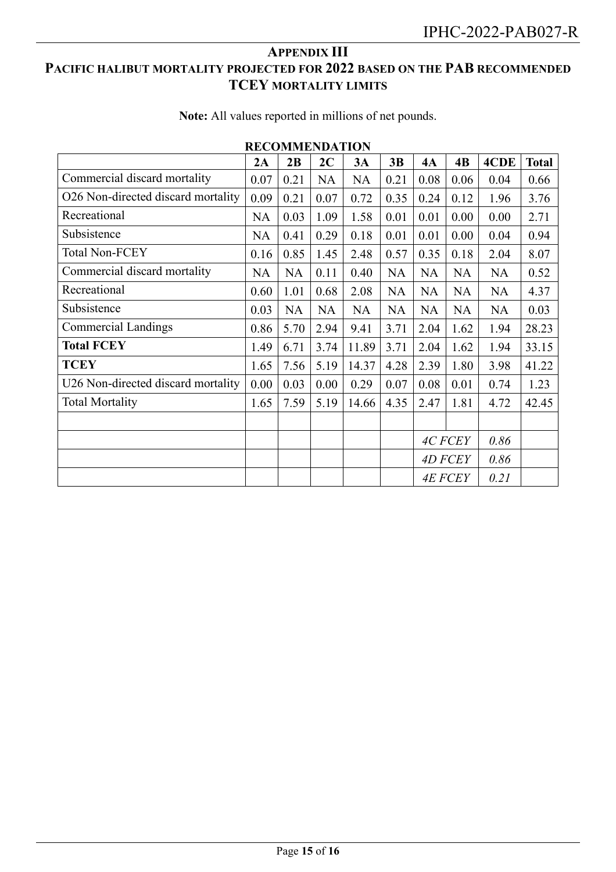# <span id="page-14-0"></span>**APPENDIX III PACIFIC HALIBUT MORTALITY PROJECTED FOR 2022 BASED ON THE PAB RECOMMENDED TCEY MORTALITY LIMITS**

| <b>RECOMMENDATION</b>              |           |           |           |           |           |                        |           |           |              |
|------------------------------------|-----------|-----------|-----------|-----------|-----------|------------------------|-----------|-----------|--------------|
|                                    | 2A        | 2B        | 2C        | 3A        | 3B        | 4A                     | 4B        | 4CDE      | <b>Total</b> |
| Commercial discard mortality       | 0.07      | 0.21      | <b>NA</b> | <b>NA</b> | 0.21      | 0.08                   | 0.06      | 0.04      | 0.66         |
| O26 Non-directed discard mortality | 0.09      | 0.21      | 0.07      | 0.72      | 0.35      | 0.24                   | 0.12      | 1.96      | 3.76         |
| Recreational                       | <b>NA</b> | 0.03      | 1.09      | 1.58      | 0.01      | 0.01                   | 0.00      | 0.00      | 2.71         |
| Subsistence                        | <b>NA</b> | 0.41      | 0.29      | 0.18      | 0.01      | 0.01                   | 0.00      | 0.04      | 0.94         |
| <b>Total Non-FCEY</b>              | 0.16      | 0.85      | 1.45      | 2.48      | 0.57      | 0.35                   | 0.18      | 2.04      | 8.07         |
| Commercial discard mortality       | <b>NA</b> | <b>NA</b> | 0.11      | 0.40      | <b>NA</b> | <b>NA</b>              | <b>NA</b> | <b>NA</b> | 0.52         |
| Recreational                       | 0.60      | 1.01      | 0.68      | 2.08      | <b>NA</b> | <b>NA</b>              | <b>NA</b> | <b>NA</b> | 4.37         |
| Subsistence                        | 0.03      | <b>NA</b> | <b>NA</b> | <b>NA</b> | <b>NA</b> | <b>NA</b>              | <b>NA</b> | <b>NA</b> | 0.03         |
| <b>Commercial Landings</b>         | 0.86      | 5.70      | 2.94      | 9.41      | 3.71      | 2.04                   | 1.62      | 1.94      | 28.23        |
| <b>Total FCEY</b>                  | 1.49      | 6.71      | 3.74      | 11.89     | 3.71      | 2.04                   | 1.62      | 1.94      | 33.15        |
| <b>TCEY</b>                        | 1.65      | 7.56      | 5.19      | 14.37     | 4.28      | 2.39                   | 1.80      | 3.98      | 41.22        |
| U26 Non-directed discard mortality | 0.00      | 0.03      | 0.00      | 0.29      | 0.07      | 0.08                   | 0.01      | 0.74      | 1.23         |
| <b>Total Mortality</b>             | 1.65      | 7.59      | 5.19      | 14.66     | 4.35      | 2.47                   | 1.81      | 4.72      | 42.45        |
|                                    |           |           |           |           |           |                        |           |           |              |
|                                    |           |           |           |           |           | 4C FCEY                |           | 0.86      |              |
|                                    |           |           |           |           |           | <b>4D FCEY</b>         |           | 0.86      |              |
|                                    |           |           |           |           |           | <b>4E FCEY</b><br>0.21 |           |           |              |

**Note:** All values reported in millions of net pounds.